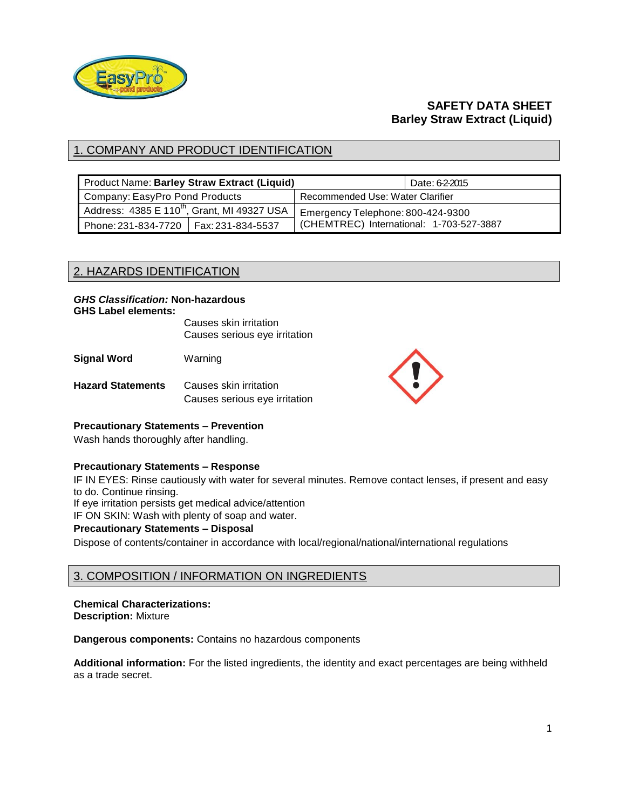

# **SAFETY DATA SHEET Barley Straw Extract (Liquid)**

# 1. COMPANY AND PRODUCT IDENTIFICATION

| Product Name: Barley Straw Extract (Liquid)             |  |                                          | Date: 62-2015 |
|---------------------------------------------------------|--|------------------------------------------|---------------|
| Company: EasyPro Pond Products                          |  | Recommended Use: Water Clarifier         |               |
| Address: 4385 E 110 <sup>th</sup> , Grant, MI 49327 USA |  | Emergency Telephone: 800-424-9300        |               |
| Phone: 231-834-7720   Fax: 231-834-5537                 |  | (CHEMTREC) International: 1-703-527-3887 |               |

# 2. HAZARDS IDENTIFICATION

#### *GHS Classification:* **Non-hazardous GHS Label elements:**

Causes skin irritation Causes serious eye irritation

**Signal Word** Warning

**Hazard Statements** Causes skin irritation Causes serious eye irritation



### **Precautionary Statements – Prevention**

Wash hands thoroughly after handling.

### **Precautionary Statements – Response**

IF IN EYES: Rinse cautiously with water for several minutes. Remove contact lenses, if present and easy to do. Continue rinsing.

If eye irritation persists get medical advice/attention

IF ON SKIN: Wash with plenty of soap and water.

### **Precautionary Statements – Disposal**

Dispose of contents/container in accordance with local/regional/national/international regulations

# 3. COMPOSITION / INFORMATION ON INGREDIENTS

#### **Chemical Characterizations: Description:** Mixture

**Dangerous components:** Contains no hazardous components

**Additional information:** For the listed ingredients, the identity and exact percentages are being withheld as a trade secret.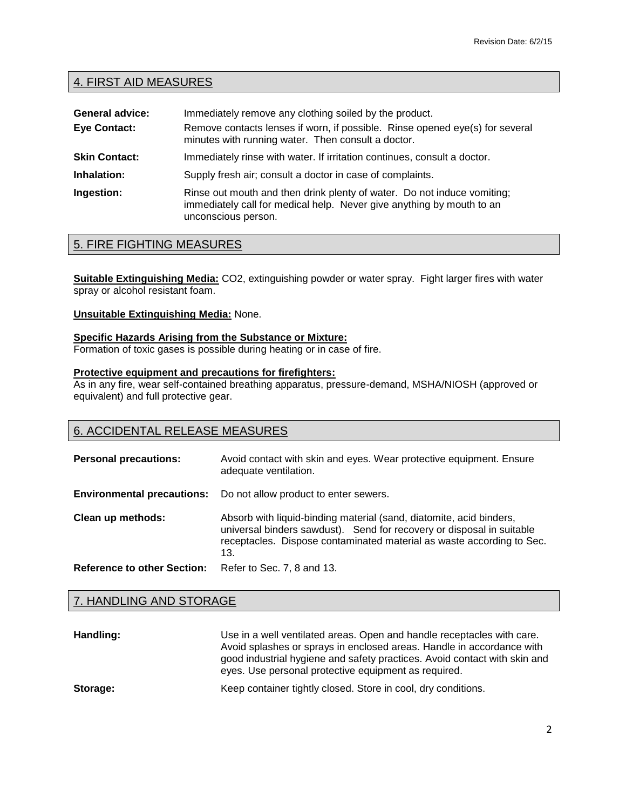# 4. FIRST AID MEASURES

| <b>General advice:</b> | Immediately remove any clothing soiled by the product.                                                                                                                  |
|------------------------|-------------------------------------------------------------------------------------------------------------------------------------------------------------------------|
| <b>Eye Contact:</b>    | Remove contacts lenses if worn, if possible. Rinse opened eye(s) for several<br>minutes with running water. Then consult a doctor.                                      |
| <b>Skin Contact:</b>   | Immediately rinse with water. If irritation continues, consult a doctor.                                                                                                |
| Inhalation:            | Supply fresh air; consult a doctor in case of complaints.                                                                                                               |
| Ingestion:             | Rinse out mouth and then drink plenty of water. Do not induce vomiting;<br>immediately call for medical help. Never give anything by mouth to an<br>unconscious person. |

# 5. FIRE FIGHTING MEASURES

**Suitable Extinguishing Media:** CO2, extinguishing powder or water spray. Fight larger fires with water spray or alcohol resistant foam.

### **Unsuitable Extinguishing Media:** None.

## **Specific Hazards Arising from the Substance or Mixture:**

Formation of toxic gases is possible during heating or in case of fire.

## **Protective equipment and precautions for firefighters:**

As in any fire, wear self-contained breathing apparatus, pressure-demand, MSHA/NIOSH (approved or equivalent) and full protective gear.

# 6. ACCIDENTAL RELEASE MEASURES

| <b>Personal precautions:</b>       | Avoid contact with skin and eyes. Wear protective equipment. Ensure<br>adequate ventilation.                                                                                                                                 |
|------------------------------------|------------------------------------------------------------------------------------------------------------------------------------------------------------------------------------------------------------------------------|
| <b>Environmental precautions:</b>  | Do not allow product to enter sewers.                                                                                                                                                                                        |
| Clean up methods:                  | Absorb with liquid-binding material (sand, diatomite, acid binders,<br>universal binders sawdust). Send for recovery or disposal in suitable<br>receptacles. Dispose contaminated material as waste according to Sec.<br>13. |
| <b>Reference to other Section:</b> | Refer to Sec. 7, 8 and 13.                                                                                                                                                                                                   |

## 7. HANDLING AND STORAGE

| Handling: | Use in a well ventilated areas. Open and handle receptacles with care.<br>Avoid splashes or sprays in enclosed areas. Handle in accordance with<br>good industrial hygiene and safety practices. Avoid contact with skin and<br>eyes. Use personal protective equipment as required. |
|-----------|--------------------------------------------------------------------------------------------------------------------------------------------------------------------------------------------------------------------------------------------------------------------------------------|
| Storage:  | Keep container tightly closed. Store in cool, dry conditions.                                                                                                                                                                                                                        |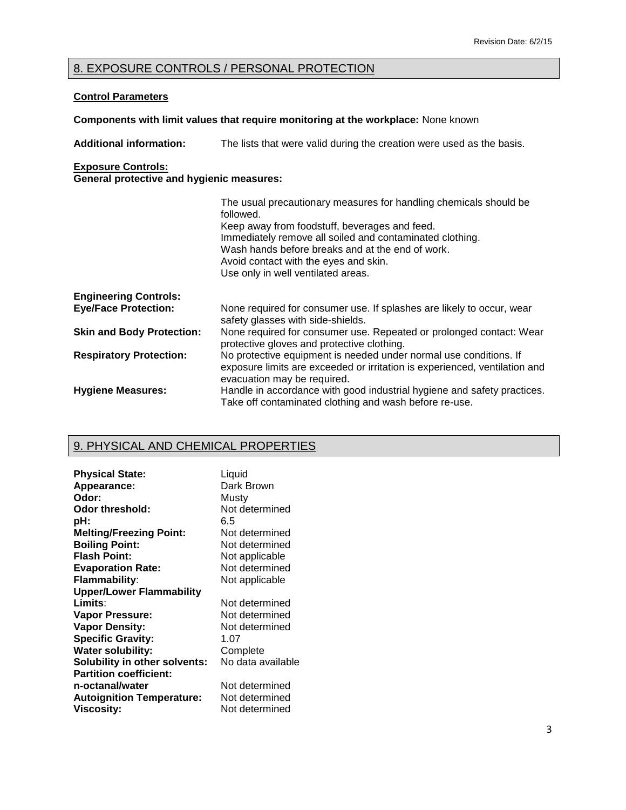# 8. EXPOSURE CONTROLS / PERSONAL PROTECTION

## **Control Parameters**

## **Components with limit values that require monitoring at the workplace:** None known

**Additional information:** The lists that were valid during the creation were used as the basis. **Exposure Controls: General protective and hygienic measures:**

|                                  | The usual precautionary measures for handling chemicals should be<br>followed.<br>Keep away from foodstuff, beverages and feed.<br>Immediately remove all soiled and contaminated clothing.<br>Wash hands before breaks and at the end of work.<br>Avoid contact with the eyes and skin.<br>Use only in well ventilated areas. |
|----------------------------------|--------------------------------------------------------------------------------------------------------------------------------------------------------------------------------------------------------------------------------------------------------------------------------------------------------------------------------|
| <b>Engineering Controls:</b>     |                                                                                                                                                                                                                                                                                                                                |
| <b>Eye/Face Protection:</b>      | None required for consumer use. If splashes are likely to occur, wear<br>safety glasses with side-shields.                                                                                                                                                                                                                     |
| <b>Skin and Body Protection:</b> | None required for consumer use. Repeated or prolonged contact: Wear<br>protective gloves and protective clothing.                                                                                                                                                                                                              |
| <b>Respiratory Protection:</b>   | No protective equipment is needed under normal use conditions. If<br>exposure limits are exceeded or irritation is experienced, ventilation and<br>evacuation may be required.                                                                                                                                                 |
| <b>Hygiene Measures:</b>         | Handle in accordance with good industrial hygiene and safety practices.<br>Take off contaminated clothing and wash before re-use.                                                                                                                                                                                              |

# 9. PHYSICAL AND CHEMICAL PROPERTIES

| <b>Physical State:</b>               | Liquid            |
|--------------------------------------|-------------------|
| Appearance:                          | Dark Brown        |
| Odor:                                | Musty             |
| Odor threshold:                      | Not determined    |
| pH:                                  | 6.5               |
| <b>Melting/Freezing Point:</b>       | Not determined    |
| <b>Boiling Point:</b>                | Not determined    |
| <b>Flash Point:</b>                  | Not applicable    |
| <b>Evaporation Rate:</b>             | Not determined    |
| <b>Flammability:</b>                 | Not applicable    |
| <b>Upper/Lower Flammability</b>      |                   |
| Limits:                              | Not determined    |
| <b>Vapor Pressure:</b>               | Not determined    |
| <b>Vapor Density:</b>                | Not determined    |
| <b>Specific Gravity:</b>             | 1.07              |
| <b>Water solubility:</b>             | Complete          |
| <b>Solubility in other solvents:</b> | No data available |
| <b>Partition coefficient:</b>        |                   |
| n-octanal/water                      | Not determined    |
| <b>Autoignition Temperature:</b>     | Not determined    |
| <b>Viscosity:</b>                    | Not determined    |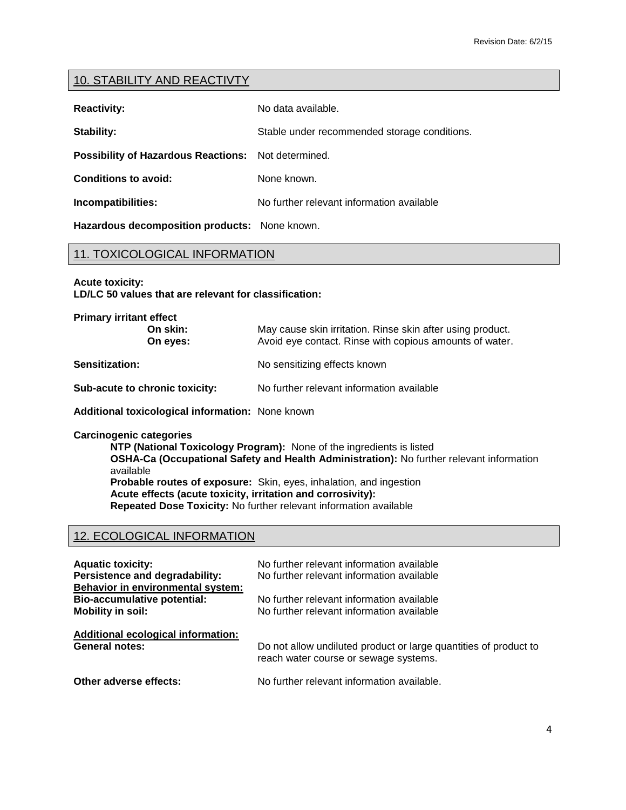## 10. STABILITY AND REACTIVTY

| <b>Reactivity:</b>                                  | No data available.                           |
|-----------------------------------------------------|----------------------------------------------|
| Stability:                                          | Stable under recommended storage conditions. |
| Possibility of Hazardous Reactions: Not determined. |                                              |
| <b>Conditions to avoid:</b>                         | None known.                                  |
| Incompatibilities:                                  | No further relevant information available    |

**Hazardous decomposition products:** None known.

## 11. TOXICOLOGICAL INFORMATION

**Acute toxicity:**

**LD/LC 50 values that are relevant for classification:**

| <b>Primary irritant effect</b>                   |                                                                                                                       |  |
|--------------------------------------------------|-----------------------------------------------------------------------------------------------------------------------|--|
| On skin:<br>On eyes:                             | May cause skin irritation. Rinse skin after using product.<br>Avoid eye contact. Rinse with copious amounts of water. |  |
| <b>Sensitization:</b>                            | No sensitizing effects known                                                                                          |  |
| Sub-acute to chronic toxicity:                   | No further relevant information available                                                                             |  |
| Additional toxicological information: None known |                                                                                                                       |  |

**Carcinogenic categories**

**NTP (National Toxicology Program):** None of the ingredients is listed **OSHA-Ca (Occupational Safety and Health Administration):** No further relevant information available **Probable routes of exposure:** Skin, eyes, inhalation, and ingestion **Acute effects (acute toxicity, irritation and corrosivity): Repeated Dose Toxicity:** No further relevant information available

# 12. ECOLOGICAL INFORMATION

| <b>Aquatic toxicity:</b><br>Persistence and degradability:<br>Behavior in environmental system: | No further relevant information available<br>No further relevant information available |
|-------------------------------------------------------------------------------------------------|----------------------------------------------------------------------------------------|
| <b>Bio-accumulative potential:</b>                                                              | No further relevant information available                                              |
| <b>Mobility in soil:</b>                                                                        | No further relevant information available                                              |
| Additional ecological information:                                                              | Do not allow undiluted product or large quantities of product to                       |
| <b>General notes:</b>                                                                           | reach water course or sewage systems.                                                  |
| Other adverse effects:                                                                          | No further relevant information available.                                             |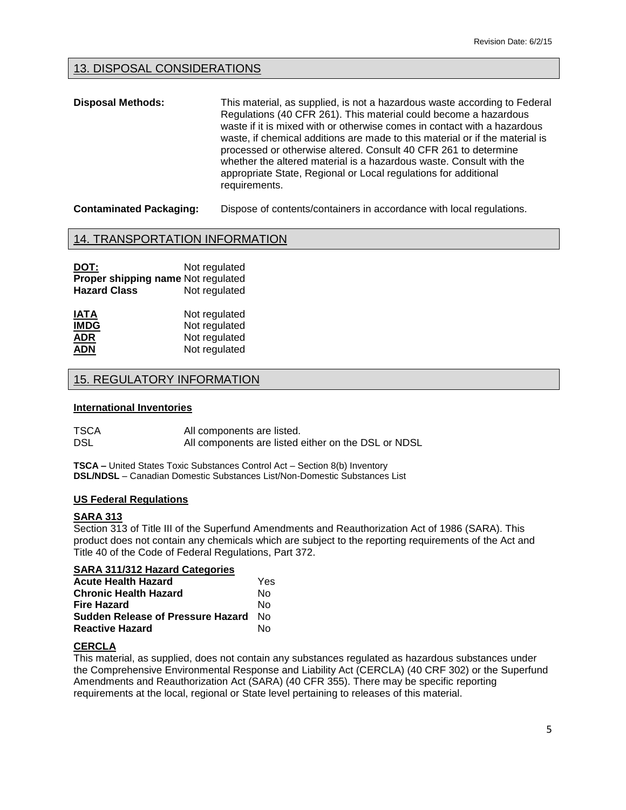## 13. DISPOSAL CONSIDERATIONS

**Disposal Methods:** This material, as supplied, is not a hazardous waste according to Federal Regulations (40 CFR 261). This material could become a hazardous waste if it is mixed with or otherwise comes in contact with a hazardous waste, if chemical additions are made to this material or if the material is processed or otherwise altered. Consult 40 CFR 261 to determine whether the altered material is a hazardous waste. Consult with the appropriate State, Regional or Local regulations for additional requirements.

**Contaminated Packaging:** Dispose of contents/containers in accordance with local regulations.

### 14. TRANSPORTATION INFORMATION

**DOT:** Not regulated **Proper shipping name** Not regulated **Hazard Class** Not regulated

| <b>IATA</b> | Not regulated |
|-------------|---------------|
| <b>IMDG</b> | Not regulated |
| <b>ADR</b>  | Not regulated |
| <b>ADN</b>  | Not regulated |

## 15. REGULATORY INFORMATION

#### **International Inventories**

| TSCA | All components are listed.                          |
|------|-----------------------------------------------------|
| DSL  | All components are listed either on the DSL or NDSL |

**TSCA –** United States Toxic Substances Control Act – Section 8(b) Inventory **DSL/NDSL** – Canadian Domestic Substances List/Non-Domestic Substances List

#### **US Federal Regulations**

#### **SARA 313**

Section 313 of Title III of the Superfund Amendments and Reauthorization Act of 1986 (SARA). This product does not contain any chemicals which are subject to the reporting requirements of the Act and Title 40 of the Code of Federal Regulations, Part 372.

## **SARA 311/312 Hazard Categories**

| <b>Acute Health Hazard</b>        | Yes |
|-----------------------------------|-----|
| <b>Chronic Health Hazard</b>      | N٥  |
| Fire Hazard                       | N٥  |
| Sudden Release of Pressure Hazard | N∩  |
| <b>Reactive Hazard</b>            | N٥  |

#### **CERCLA**

This material, as supplied, does not contain any substances regulated as hazardous substances under the Comprehensive Environmental Response and Liability Act (CERCLA) (40 CRF 302) or the Superfund Amendments and Reauthorization Act (SARA) (40 CFR 355). There may be specific reporting requirements at the local, regional or State level pertaining to releases of this material.